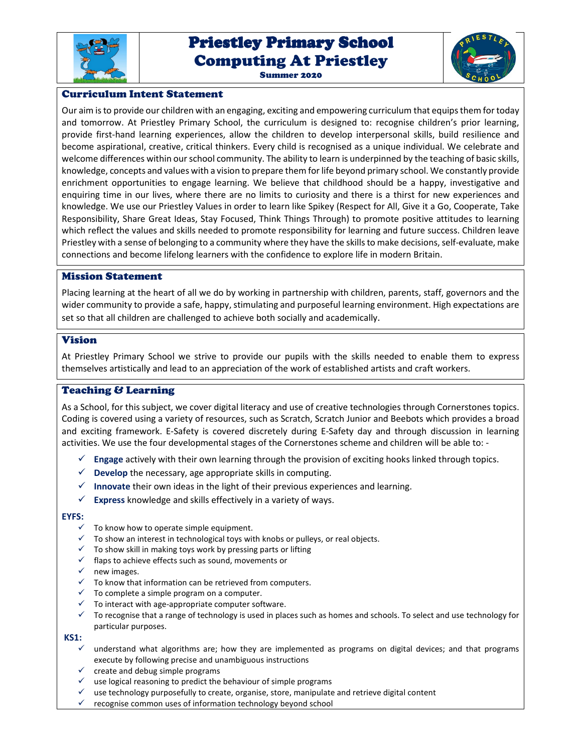

# Priestley Primary School Priestley Primary School Computing At Priestley Summer 2020



### Curriculum Intent Statement

Our aim is to provide our children with an engaging, exciting and empowering curriculum that equips them for today and tomorrow. At Priestley Primary School, the curriculum is designed to: recognise children's prior learning, provide first-hand learning experiences, allow the children to develop interpersonal skills, build resilience and become aspirational, creative, critical thinkers. Every child is recognised as a unique individual. We celebrate and welcome differences within our school community. The ability to learn is underpinned by the teaching of basic skills, knowledge, concepts and values with a vision to prepare them for life beyond primary school. We constantly provide enrichment opportunities to engage learning. We believe that childhood should be a happy, investigative and enquiring time in our lives, where there are no limits to curiosity and there is a thirst for new experiences and knowledge. We use our Priestley Values in order to learn like Spikey (Respect for All, Give it a Go, Cooperate, Take Responsibility, Share Great Ideas, Stay Focused, Think Things Through) to promote positive attitudes to learning which reflect the values and skills needed to promote responsibility for learning and future success. Children leave Priestley with a sense of belonging to a community where they have the skills to make decisions, self-evaluate, make connections and become lifelong learners with the confidence to explore life in modern Britain.

#### Mission Statement

Placing learning at the heart of all we do by working in partnership with children, parents, staff, governors and the wider community to provide a safe, happy, stimulating and purposeful learning environment. High expectations are set so that all children are challenged to achieve both socially and academically.

#### Vision

At Priestley Primary School we strive to provide our pupils with the skills needed to enable them to express themselves artistically and lead to an appreciation of the work of established artists and craft workers.

## Teaching & Learning

As a School, for this subject, we cover digital literacy and use of creative technologies through Cornerstones topics. Coding is covered using a variety of resources, such as Scratch, Scratch Junior and Beebots which provides a broad and exciting framework. E-Safety is covered discretely during E-Safety day and through discussion in learning activities. We use the four developmental stages of the Cornerstones scheme and children will be able to: -

- **Engage** actively with their own learning through the provision of exciting hooks linked through topics.
- $\checkmark$  **Develop** the necessary, age appropriate skills in computing.
- **Innovate** their own ideas in the light of their previous experiences and learning.
- **Express** knowledge and skills effectively in a variety of ways.

#### **EYFS:**

- $\checkmark$  To know how to operate simple equipment.
- $\checkmark$  To show an interest in technological toys with knobs or pulleys, or real objects.
- $\checkmark$  To show skill in making toys work by pressing parts or lifting
- $\checkmark$  flaps to achieve effects such as sound, movements or
- $\checkmark$  new images.
- To know that information can be retrieved from computers.
- $\checkmark$  To complete a simple program on a computer.
- To interact with age-appropriate computer software.
- $\checkmark$  To recognise that a range of technology is used in places such as homes and schools. To select and use technology for particular purposes.

### **KS1:**

- $\checkmark$  understand what algorithms are; how they are implemented as programs on digital devices; and that programs execute by following precise and unambiguous instructions
- $\checkmark$  create and debug simple programs
- $\checkmark$  use logical reasoning to predict the behaviour of simple programs
- $\checkmark$  use technology purposefully to create, organise, store, manipulate and retrieve digital content
- $\checkmark$  recognise common uses of information technology beyond school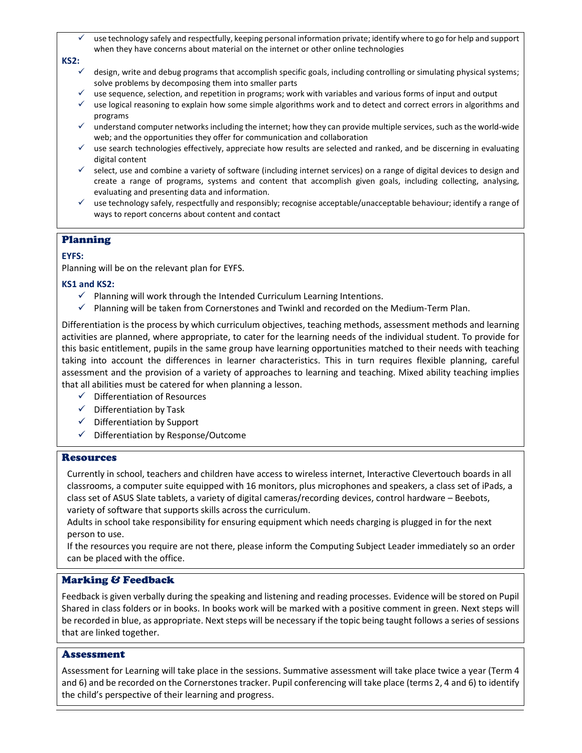use technology safely and respectfully, keeping personal information private; identify where to go for help and support when they have concerns about material on the internet or other online technologies

#### **KS2:**

- $\checkmark$  design, write and debug programs that accomplish specific goals, including controlling or simulating physical systems; solve problems by decomposing them into smaller parts
- $\checkmark$  use sequence, selection, and repetition in programs; work with variables and various forms of input and output
- $\checkmark$  use logical reasoning to explain how some simple algorithms work and to detect and correct errors in algorithms and programs
- $\checkmark$  understand computer networks including the internet; how they can provide multiple services, such as the world-wide web; and the opportunities they offer for communication and collaboration
- $\checkmark$  use search technologies effectively, appreciate how results are selected and ranked, and be discerning in evaluating digital content
- $\checkmark$  select, use and combine a variety of software (including internet services) on a range of digital devices to design and create a range of programs, systems and content that accomplish given goals, including collecting, analysing, evaluating and presenting data and information.
- $\checkmark$  use technology safely, respectfully and responsibly; recognise acceptable/unacceptable behaviour; identify a range of ways to report concerns about content and contact

## Planning

### **EYFS:**

Planning will be on the relevant plan for EYFS.

#### **KS1 and KS2:**

- $\checkmark$  Planning will work through the Intended Curriculum Learning Intentions.
- $\checkmark$  Planning will be taken from Cornerstones and Twinkl and recorded on the Medium-Term Plan.

Differentiation is the process by which curriculum objectives, teaching methods, assessment methods and learning activities are planned, where appropriate, to cater for the learning needs of the individual student. To provide for this basic entitlement, pupils in the same group have learning opportunities matched to their needs with teaching taking into account the differences in learner characteristics. This in turn requires flexible planning, careful assessment and the provision of a variety of approaches to learning and teaching. Mixed ability teaching implies that all abilities must be catered for when planning a lesson.

- $\checkmark$  Differentiation of Resources
- $\checkmark$  Differentiation by Task
- $\checkmark$  Differentiation by Support
- $\checkmark$  Differentiation by Response/Outcome

#### Resources

Currently in school, teachers and children have access to wireless internet, Interactive Clevertouch boards in all classrooms, a computer suite equipped with 16 monitors, plus microphones and speakers, a class set of iPads, a class set of ASUS Slate tablets, a variety of digital cameras/recording devices, control hardware – Beebots, variety of software that supports skills across the curriculum.

Adults in school take responsibility for ensuring equipment which needs charging is plugged in for the next person to use.

If the resources you require are not there, please inform the Computing Subject Leader immediately so an order can be placed with the office.

## Marking & Feedback

Feedback is given verbally during the speaking and listening and reading processes. Evidence will be stored on Pupil Shared in class folders or in books. In books work will be marked with a positive comment in green. Next steps will be recorded in blue, as appropriate. Next steps will be necessary if the topic being taught follows a series of sessions that are linked together.

#### Assessment

Assessment for Learning will take place in the sessions. Summative assessment will take place twice a year (Term 4 and 6) and be recorded on the Cornerstones tracker. Pupil conferencing will take place (terms 2, 4 and 6) to identify the child's perspective of their learning and progress.